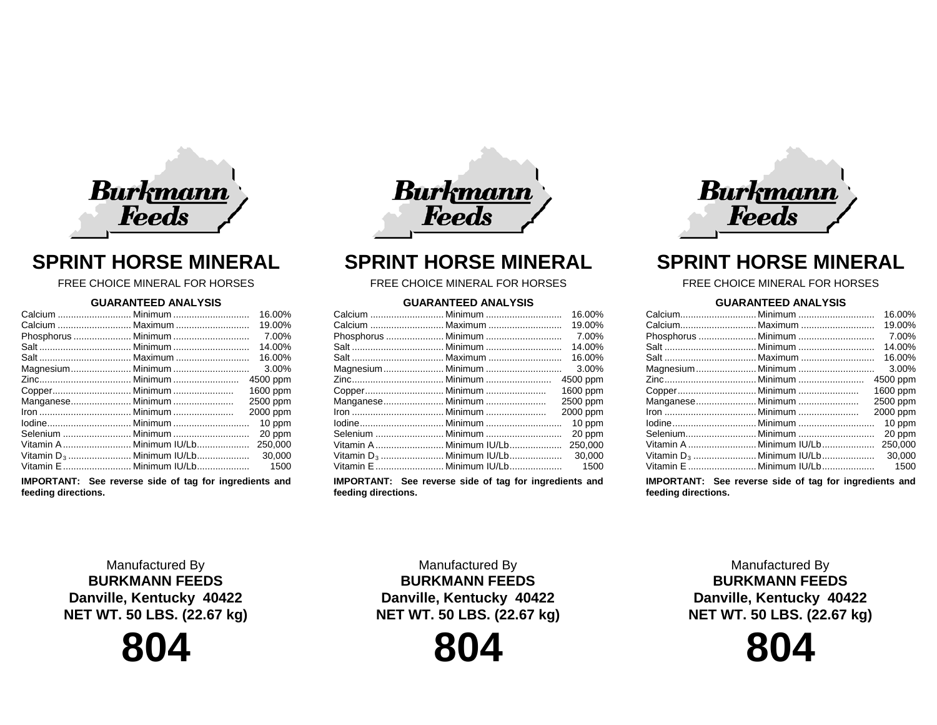

# **SPRINT HORSE MINERAL**

FREE CHOICE MINERAL FOR HORSES

### **GUARANTEED ANALYSIS**

|                   |                         | 16.00%   |
|-------------------|-------------------------|----------|
|                   | Calcium  Maximum        | 19.00%   |
|                   | Phosphorus  Minimum     | 7.00%    |
|                   |                         | 14.00%   |
|                   |                         | 16.00%   |
|                   |                         | 3.00%    |
|                   |                         | 4500 ppm |
|                   |                         | 1600 ppm |
| Manganese Minimum |                         | 2500 ppm |
|                   |                         | 2000 ppm |
|                   |                         | 10 ppm   |
|                   |                         | 20 ppm   |
|                   | Vitamin A Minimum IU/Lb | 250,000  |
|                   |                         | 30,000   |
|                   |                         | 1500     |
|                   |                         |          |

**IMPORTANT: See reverse side of tag for ingredients and feeding directions.**



## **SPRINT HORSE MINERAL**

## FREE CHOICE MINERAL FOR HORSES

## **GUARANTEED ANALYSIS**

| 16.00%                                          |  |
|-------------------------------------------------|--|
| 19.00%                                          |  |
| 7.00%                                           |  |
| 14.00%                                          |  |
| 16.00%                                          |  |
| 3.00%                                           |  |
| 4500 ppm                                        |  |
| 1600 ppm                                        |  |
| Manganese Minimum<br>2500 ppm                   |  |
| 2000 ppm                                        |  |
| 10 ppm                                          |  |
| 20 ppm                                          |  |
| Vitamin A  Minimum IU/Lb<br>250,000             |  |
| Vitamin D <sub>3</sub> Minimum IU/Lb<br>30,000  |  |
| Vitamin E  Minimum IU/Lb<br>1500                |  |
| the contract of the contract of the contract of |  |

**IMPORTANT: See reverse side of tag for ingredients and feeding directions.**



# **SPRINT HORSE MINERAL**

## FREE CHOICE MINERAL FOR HORSES

## **GUARANTEED ANALYSIS**

|                          | 16.00%   |
|--------------------------|----------|
|                          |          |
|                          | 19.00%   |
| Phosphorus  Minimum      | 7.00%    |
|                          | 14.00%   |
|                          | 16.00%   |
|                          | 3.00%    |
|                          | 4500 ppm |
|                          | 1600 ppm |
| Manganese Minimum        | 2500 ppm |
|                          | 2000 ppm |
|                          | 10 ppm   |
| Selenium Minimum         | 20 ppm   |
| Vitamin A  Minimum IU/Lb | 250,000  |
|                          | 30,000   |
| Vitamin E  Minimum IU/Lb | 1500     |
|                          |          |

**IMPORTANT: See reverse side of tag for ingredients and feeding directions.**

Manufactured By **BURKMANN FEEDS Danville, Kentucky 40422 NET WT. 50 LBS. (22.67 kg)**



Manufactured By **BURKMANN FEEDS Danville, Kentucky 40422 NET WT. 50 LBS. (22.67 kg)**

**804**

Manufactured By **BURKMANN FEEDS Danville, Kentucky 40422 NET WT. 50 LBS. (22.67 kg)**

**804**